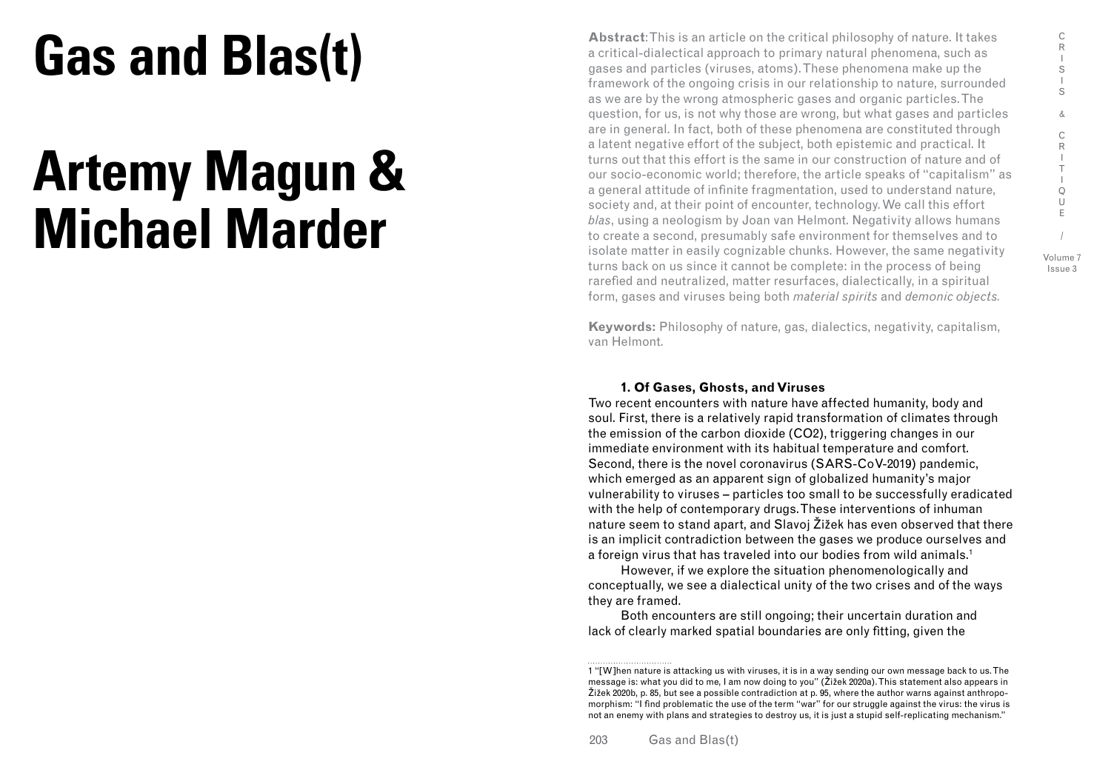# **Gas and Blas(t)**

## **Artemy Magun & Michael Marder**

**Abstract**: This is an article on the critical philosophy of nature. It takes a critical-dialectical approach to primary natural phenomena, such as gases and particles (viruses, atoms). These phenomena make up the framework of the ongoing crisis in our relationship to nature, surrounded as we are by the wrong atmospheric gases and organic particles. The question, for us, is not why those are wrong, but what gases and particles are in general. In fact, both of these phenomena are constituted through a latent negative effort of the subject, both epistemic and practical. It turns out that this effort is the same in our construction of nature and of our socio-economic world; therefore, the article speaks of "capitalism" as a general attitude of infinite fragmentation, used to understand nature, society and, at their point of encounter, technology. We call this effort *blas*, using a neologism by Joan van Helmont. Negativity allows humans to create a second, presumably safe environment for themselves and to isolate matter in easily cognizable chunks. However, the same negativity turns back on us since it cannot be complete: in the process of being rarefied and neutralized, matter resurfaces, dialectically, in a spiritual form, gases and viruses being both *material spirits* and *demonic objects.*

**Keywords:** Philosophy of nature, gas, dialectics, negativity, capitalism, van Helmont.

### **1. Of Gases, Ghosts, and Viruses**

Two recent encounters with nature have affected humanity, body and soul. First, there is a relatively rapid transformation of climates through the emission of the carbon dioxide (CO2), triggering changes in our immediate environment with its habitual temperature and comfort. Second, there is the novel coronavirus (SARS-CoV-2019) pandemic, which emerged as an apparent sign of globalized humanity's major vulnerability to viruses – particles too small to be successfully eradicated with the help of contemporary drugs. These interventions of inhuman nature seem to stand apart, and Slavoj Žižek has even observed that there is an implicit contradiction between the gases we produce ourselves and a foreign virus that has traveled into our bodies from wild animals.<sup>1</sup>

However, if we explore the situation phenomenologically and conceptually, we see a dialectical unity of the two crises and of the ways they are framed.

Both encounters are still ongoing; their uncertain duration and lack of clearly marked spatial boundaries are only fitting, given the

<sup>1 &</sup>quot;[W]hen nature is attacking us with viruses, it is in a way sending our own message back to us. The message is: what you did to me, I am now doing to you" (Žižek 2020a). This statement also appears in Žižek 2020b, p. 85, but see a possible contradiction at p. 95, where the author warns against anthropomorphism: "I find problematic the use of the term "war" for our struggle against the virus: the virus is not an enemy with plans and strategies to destroy us, it is just a stupid self-replicating mechanism."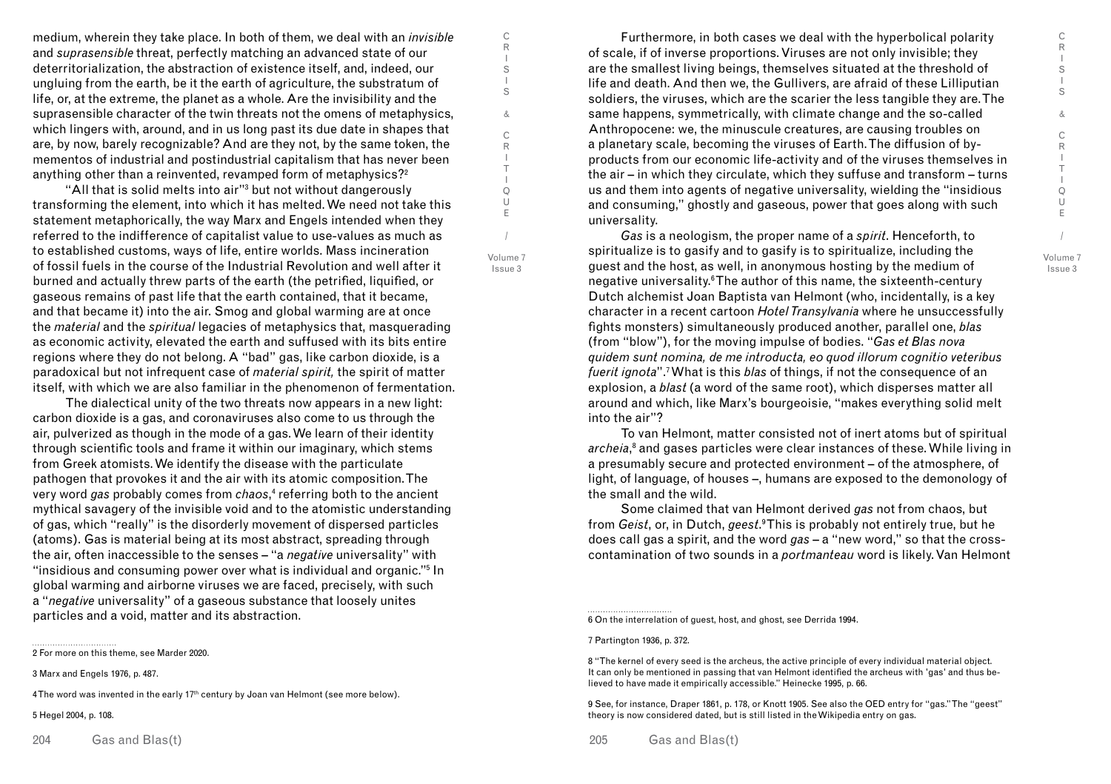C R I S I S & C R I T I Q U E / Volume 7 Issue 3

medium, wherein they take place. In both of them, we deal with an *invisible* and *suprasensible* threat, perfectly matching an advanced state of our deterritorialization, the abstraction of existence itself, and, indeed, our ungluing from the earth, be it the earth of agriculture, the substratum of life, or, at the extreme, the planet as a whole. Are the invisibility and the suprasensible character of the twin threats not the omens of metaphysics, which lingers with, around, and in us long past its due date in shapes that are, by now, barely recognizable? And are they not, by the same token, the mementos of industrial and postindustrial capitalism that has never been anything other than a reinvented, revamped form of metaphysics?<sup>2</sup>

"All that is solid melts into air"3 but not without dangerously transforming the element, into which it has melted. We need not take this statement metaphorically, the way Marx and Engels intended when they referred to the indifference of capitalist value to use-values as much as to established customs, ways of life, entire worlds. Mass incineration of fossil fuels in the course of the Industrial Revolution and well after it burned and actually threw parts of the earth (the petrified, liquified, or gaseous remains of past life that the earth contained, that it became, and that became it) into the air. Smog and global warming are at once the *material* and the *spiritual* legacies of metaphysics that, masquerading as economic activity, elevated the earth and suffused with its bits entire regions where they do not belong. A "bad" gas, like carbon dioxide, is a paradoxical but not infrequent case of *material spirit,* the spirit of matter itself, with which we are also familiar in the phenomenon of fermentation.

The dialectical unity of the two threats now appears in a new light: carbon dioxide is a gas, and coronaviruses also come to us through the air, pulverized as though in the mode of a gas. We learn of their identity through scientific tools and frame it within our imaginary, which stems from Greek atomists. We identify the disease with the particulate pathogen that provokes it and the air with its atomic composition. The very word *gas* probably comes from *chaos*, 4 referring both to the ancient mythical savagery of the invisible void and to the atomistic understanding of gas, which "really" is the disorderly movement of dispersed particles (atoms). Gas is material being at its most abstract, spreading through the air, often inaccessible to the senses – "a *negative* universality" with "insidious and consuming power over what is individual and organic."5 In global warming and airborne viruses we are faced, precisely, with such a "*negative* universality" of a gaseous substance that loosely unites particles and a void, matter and its abstraction.

4 The word was invented in the early  $17<sup>th</sup>$  century by Joan van Helmont (see more below).

5 Hegel 2004, p. 108.

204 Gas and Blas(t) 205

Furthermore, in both cases we deal with the hyperbolical polarity of scale, if of inverse proportions. Viruses are not only invisible; they are the smallest living beings, themselves situated at the threshold of life and death. And then we, the Gullivers, are afraid of these Lilliputian soldiers, the viruses, which are the scarier the less tangible they are. The same happens, symmetrically, with climate change and the so-called Anthropocene: we, the minuscule creatures, are causing troubles on a planetary scale, becoming the viruses of Earth. The diffusion of byproducts from our economic life-activity and of the viruses themselves in the air – in which they circulate, which they suffuse and transform – turns us and them into agents of negative universality, wielding the "insidious and consuming," ghostly and gaseous, power that goes along with such universality.

*Gas* is a neologism, the proper name of a *spirit*. Henceforth, to spiritualize is to gasify and to gasify is to spiritualize, including the guest and the host, as well, in anonymous hosting by the medium of negative universality.<sup>6</sup>The author of this name, the sixteenth-century Dutch alchemist Joan Baptista van Helmont (who, incidentally, is a key character in a recent cartoon *Hotel Transylvania* where he unsuccessfully fights monsters) simultaneously produced another, parallel one, *blas*  (from "blow"), for the moving impulse of bodies. "*Gas et Blas nova quidem sunt nomina, de me introducta, eo quod illorum cognitio veteribus fuerit ignota*".7 What is this *blas* of things, if not the consequence of an explosion, a *blast* (a word of the same root), which disperses matter all around and which, like Marx's bourgeoisie, "makes everything solid melt into the air"?

To van Helmont, matter consisted not of inert atoms but of spiritual *archeia*, 8 and gases particles were clear instances of these. While living in a presumably secure and protected environment – of the atmosphere, of light, of language, of houses –, humans are exposed to the demonology of the small and the wild.

Some claimed that van Helmont derived *gas* not from chaos, but from *Geist*, or, in Dutch, *geest*.<sup>9</sup>This is probably not entirely true, but he does call gas a spirit, and the word *gas* – a "new word," so that the crosscontamination of two sounds in a *portmanteau* word is likely. Van Helmont

C R I S I S & C R I T I Q U E

/ Volume 7 Issue 3

<sup>2</sup> For more on this theme, see Marder 2020.

<sup>3</sup> Marx and Engels 1976, p. 487.

<sup>6</sup> On the interrelation of guest, host, and ghost, see Derrida 1994.

<sup>7</sup> Partington 1936, p. 372.

<sup>8 &</sup>quot;The kernel of every seed is the archeus, the active principle of every individual material object. It can only be mentioned in passing that van Helmont identified the archeus with 'gas' and thus believed to have made it empirically accessible." Heinecke 1995, p. 66.

<sup>9</sup> See, for instance, Draper 1861, p. 178, or Knott 1905. See also the OED entry for "gas." The "geest" theory is now considered dated, but is still listed in the Wikipedia entry on gas.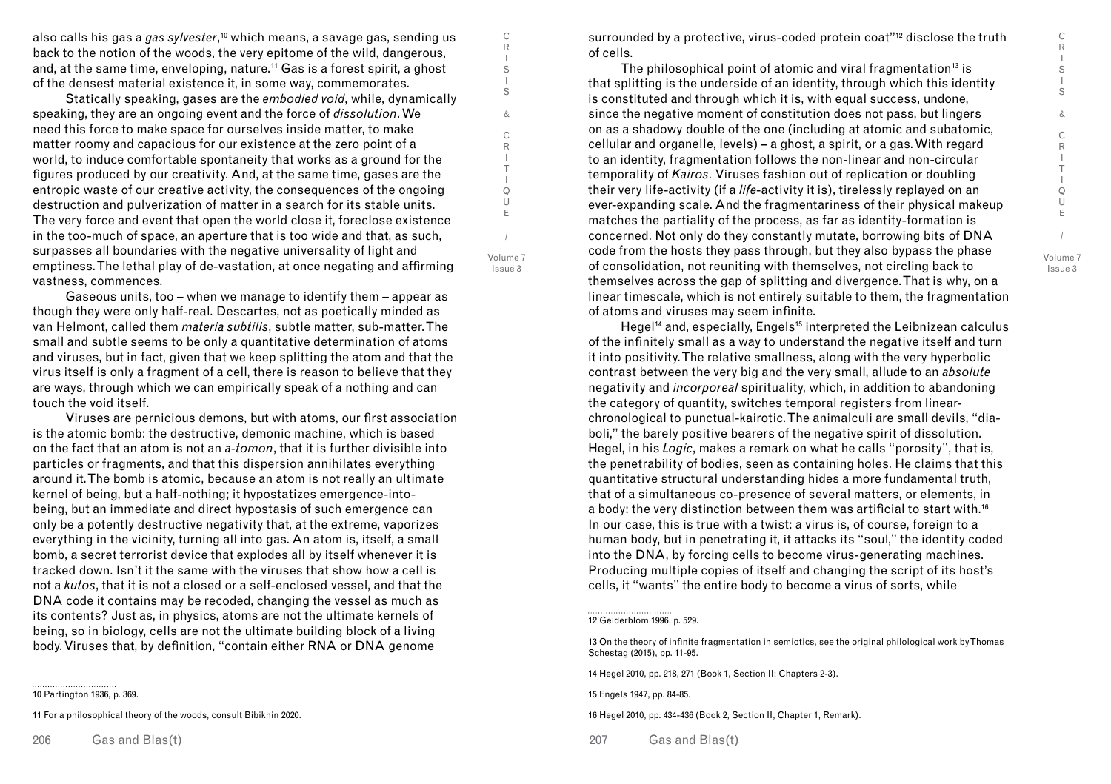C R I S I S & C R  $\mathbf{I}$ T I Q U E / Volume 7 Issue 3

also calls his gas a *gas sylvester*, 10 which means, a savage gas, sending us back to the notion of the woods, the very epitome of the wild, dangerous, and, at the same time, enveloping, nature.<sup>11</sup> Gas is a forest spirit, a ghost of the densest material existence it, in some way, commemorates.

Statically speaking, gases are the *embodied void*, while, dynamically speaking, they are an ongoing event and the force of *dissolution*. We need this force to make space for ourselves inside matter, to make matter roomy and capacious for our existence at the zero point of a world, to induce comfortable spontaneity that works as a ground for the figures produced by our creativity. And, at the same time, gases are the entropic waste of our creative activity, the consequences of the ongoing destruction and pulverization of matter in a search for its stable units. The very force and event that open the world close it, foreclose existence in the too-much of space, an aperture that is too wide and that, as such, surpasses all boundaries with the negative universality of light and emptiness. The lethal play of de-vastation, at once negating and affirming vastness, commences.

Gaseous units, too – when we manage to identify them – appear as though they were only half-real. Descartes, not as poetically minded as van Helmont, called them *materia subtilis*, subtle matter, sub-matter. The small and subtle seems to be only a quantitative determination of atoms and viruses, but in fact, given that we keep splitting the atom and that the virus itself is only a fragment of a cell, there is reason to believe that they are ways, through which we can empirically speak of a nothing and can touch the void itself.

Viruses are pernicious demons, but with atoms, our first association is the atomic bomb: the destructive, demonic machine, which is based on the fact that an atom is not an *a-tomon*, that it is further divisible into particles or fragments, and that this dispersion annihilates everything around it. The bomb is atomic, because an atom is not really an ultimate kernel of being, but a half-nothing; it hypostatizes emergence-intobeing, but an immediate and direct hypostasis of such emergence can only be a potently destructive negativity that, at the extreme, vaporizes everything in the vicinity, turning all into gas. An atom is, itself, a small bomb, a secret terrorist device that explodes all by itself whenever it is tracked down. Isn't it the same with the viruses that show how a cell is not a *kutos*, that it is not a closed or a self-enclosed vessel, and that the DNA code it contains may be recoded, changing the vessel as much as its contents? Just as, in physics, atoms are not the ultimate kernels of being, so in biology, cells are not the ultimate building block of a living body. Viruses that, by definition, "contain either RNA or DNA genome

10 Partington 1936, p. 369.

11 For a philosophical theory of the woods, consult Bibikhin 2020.

206 Gas and Blas(t) 207

surrounded by a protective, virus-coded protein coat"<sup>12</sup> disclose the truth of cells.

The philosophical point of atomic and viral fragmentation<sup>13</sup> is that splitting is the underside of an identity, through which this identity is constituted and through which it is, with equal success, undone, since the negative moment of constitution does not pass, but lingers on as a shadowy double of the one (including at atomic and subatomic, cellular and organelle, levels) – a ghost, a spirit, or a gas. With regard to an identity, fragmentation follows the non-linear and non-circular temporality of *Kairos*. Viruses fashion out of replication or doubling their very life-activity (if a *life*-activity it is), tirelessly replayed on an ever-expanding scale. And the fragmentariness of their physical makeup matches the partiality of the process, as far as identity-formation is concerned. Not only do they constantly mutate, borrowing bits of DNA code from the hosts they pass through, but they also bypass the phase of consolidation, not reuniting with themselves, not circling back to themselves across the gap of splitting and divergence. That is why, on a linear timescale, which is not entirely suitable to them, the fragmentation of atoms and viruses may seem infinite.

Hegel<sup>14</sup> and, especially, Engels<sup>15</sup> interpreted the Leibnizean calculus of the infinitely small as a way to understand the negative itself and turn it into positivity. The relative smallness, along with the very hyperbolic contrast between the very big and the very small, allude to an *absolute* negativity and *incorporeal* spirituality, which, in addition to abandoning the category of quantity, switches temporal registers from linearchronological to punctual-kairotic. The animalculi are small devils, "diaboli," the barely positive bearers of the negative spirit of dissolution. Hegel, in his *Logic*, makes a remark on what he calls "porosity", that is, the penetrability of bodies, seen as containing holes. He claims that this quantitative structural understanding hides a more fundamental truth, that of a simultaneous co-presence of several matters, or elements, in a body: the very distinction between them was artificial to start with.16 In our case, this is true with a twist: a virus is, of course, foreign to a human body, but in penetrating it, it attacks its "soul," the identity coded into the DNA, by forcing cells to become virus-generating machines. Producing multiple copies of itself and changing the script of its host's cells, it "wants" the entire body to become a virus of sorts, while

C R I S I S & C R I T I Q U E

/ Volume 7 Issue 3

> 13 On the theory of infinite fragmentation in semiotics, see the original philological work by Thomas Schestag (2015), pp. 11-95.

14 Hegel 2010, pp. 218, 271 (Book 1, Section II; Chapters 2-3).

15 Engels 1947, pp. 84-85.

16 Hegel 2010, pp. 434-436 (Book 2, Section II, Chapter 1, Remark).

Gas and Blas(t)

<sup>12</sup> Gelderblom 1996, p. 529.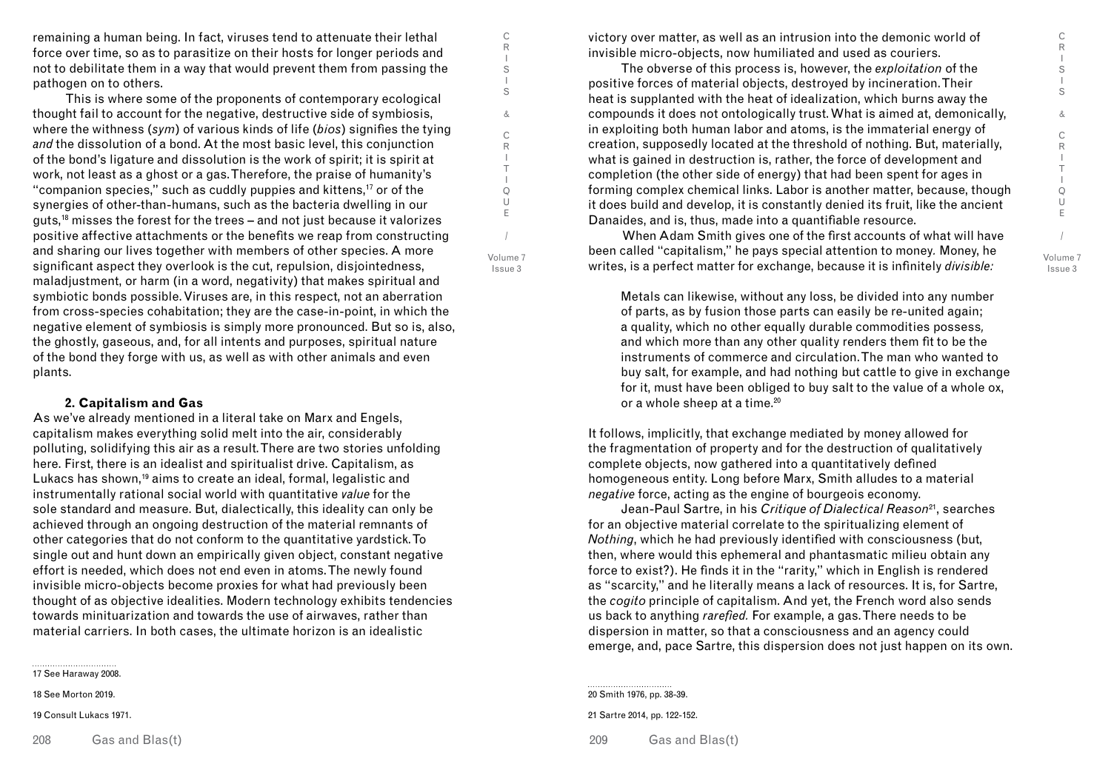C R I S I S & C R  $\mathbf{I}$ T I Q U E / Volume 7 Issue 3

remaining a human being. In fact, viruses tend to attenuate their lethal force over time, so as to parasitize on their hosts for longer periods and not to debilitate them in a way that would prevent them from passing the pathogen on to others.

C R I S I S & C R I T I Q U E / Volume 7 Issue 3

This is where some of the proponents of contemporary ecological thought fail to account for the negative, destructive side of symbiosis, where the withness (*sym*) of various kinds of life (*bios*) signifies the tying *and* the dissolution of a bond. At the most basic level, this conjunction of the bond's ligature and dissolution is the work of spirit; it is spirit at work, not least as a ghost or a gas. Therefore, the praise of humanity's "companion species," such as cuddly puppies and kittens,<sup>17</sup> or of the synergies of other-than-humans, such as the bacteria dwelling in our guts,18 misses the forest for the trees – and not just because it valorizes positive affective attachments or the benefits we reap from constructing and sharing our lives together with members of other species. A more significant aspect they overlook is the cut, repulsion, disjointedness, maladjustment, or harm (in a word, negativity) that makes spiritual and symbiotic bonds possible. Viruses are, in this respect, not an aberration from cross-species cohabitation; they are the case-in-point, in which the negative element of symbiosis is simply more pronounced. But so is, also, the ghostly, gaseous, and, for all intents and purposes, spiritual nature of the bond they forge with us, as well as with other animals and even plants.

#### **2. Capitalism and Gas**

As we've already mentioned in a literal take on Marx and Engels, capitalism makes everything solid melt into the air, considerably polluting, solidifying this air as a result. There are two stories unfolding here. First, there is an idealist and spiritualist drive. Capitalism, as Lukacs has shown,<sup>19</sup> aims to create an ideal, formal, legalistic and instrumentally rational social world with quantitative *value* for the sole standard and measure. But, dialectically, this ideality can only be achieved through an ongoing destruction of the material remnants of other categories that do not conform to the quantitative yardstick. To single out and hunt down an empirically given object, constant negative effort is needed, which does not end even in atoms. The newly found invisible micro-objects become proxies for what had previously been thought of as objective idealities. Modern technology exhibits tendencies towards minituarization and towards the use of airwaves, rather than material carriers. In both cases, the ultimate horizon is an idealistic

17 See Haraway 2008.

18 See Morton 2019.

19 Consult Lukacs 1971.

208 Gas and Blas(t) 209

victory over matter, as well as an intrusion into the demonic world of invisible micro-objects, now humiliated and used as couriers.

The obverse of this process is, however, the *exploitation* of the positive forces of material objects, destroyed by incineration. Their heat is supplanted with the heat of idealization, which burns away the compounds it does not ontologically trust. What is aimed at, demonically, in exploiting both human labor and atoms, is the immaterial energy of creation, supposedly located at the threshold of nothing. But, materially, what is gained in destruction is, rather, the force of development and completion (the other side of energy) that had been spent for ages in forming complex chemical links. Labor is another matter, because, though it does build and develop, it is constantly denied its fruit, like the ancient Danaides, and is, thus, made into a quantifiable resource.

 When Adam Smith gives one of the first accounts of what will have been called "capitalism," he pays special attention to money*.* Money, he writes, is a perfect matter for exchange, because it is infinitely *divisible:*

Metals can likewise, without any loss, be divided into any number of parts, as by fusion those parts can easily be re-united again; a quality, which no other equally durable commodities possess*,*  and which more than any other quality renders them fit to be the instruments of commerce and circulation. The man who wanted to buy salt, for example, and had nothing but cattle to give in exchange for it, must have been obliged to buy salt to the value of a whole ox, or a whole sheep at a time.<sup>20</sup>

It follows, implicitly, that exchange mediated by money allowed for the fragmentation of property and for the destruction of qualitatively complete objects, now gathered into a quantitatively defined homogeneous entity. Long before Marx, Smith alludes to a material *negative* force, acting as the engine of bourgeois economy.

Jean-Paul Sartre, in his *Critique of Dialectical Reason*21, searches for an objective material correlate to the spiritualizing element of *Nothing*, which he had previously identified with consciousness (but, then, where would this ephemeral and phantasmatic milieu obtain any force to exist?). He finds it in the "rarity," which in English is rendered as "scarcity," and he literally means a lack of resources. It is, for Sartre, the *cogito* principle of capitalism. And yet, the French word also sends us back to anything *rarefied.* For example, a gas. There needs to be dispersion in matter, so that a consciousness and an agency could emerge, and, pace Sartre, this dispersion does not just happen on its own.

20 Smith 1976, pp. 38-39. 21 Sartre 2014, pp. 122-152.

Gas and Blas(t)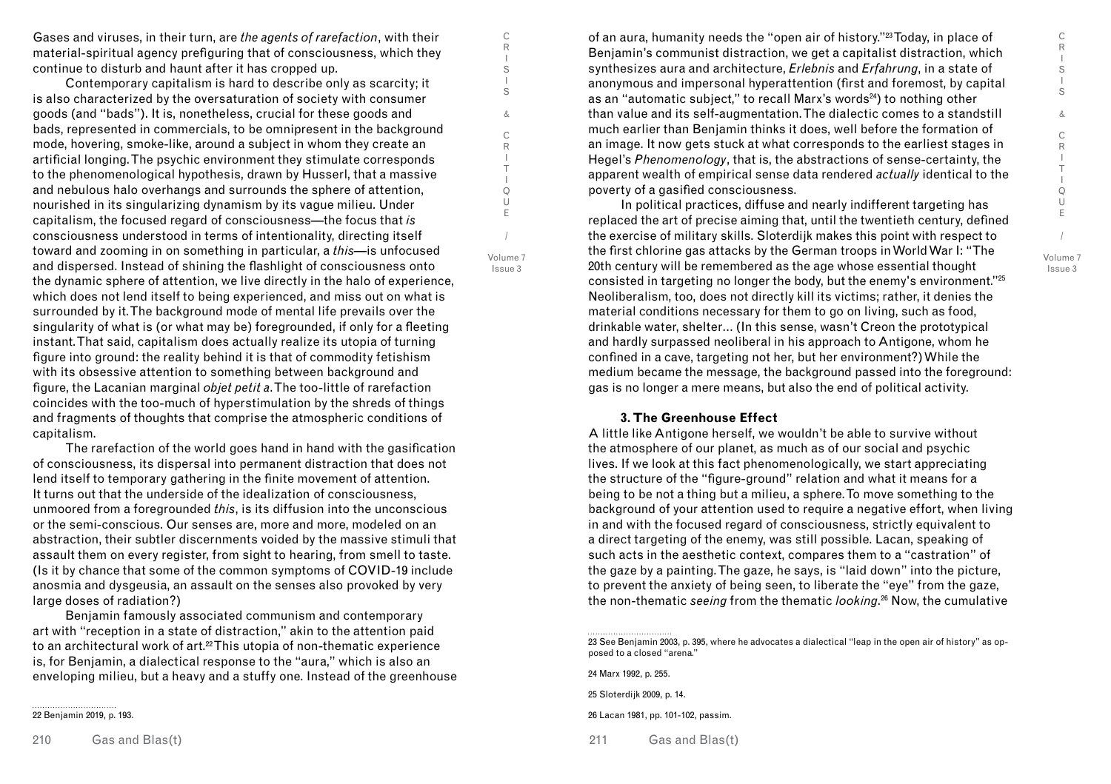C R I S I S &  $\overline{C}$ R I T I Q U E / Volume 7

Issue 3

Gases and viruses, in their turn, are *the agents of rarefaction*, with their material-spiritual agency prefiguring that of consciousness, which they continue to disturb and haunt after it has cropped up.

Contemporary capitalism is hard to describe only as scarcity; it is also characterized by the oversaturation of society with consumer goods (and "bads"). It is, nonetheless, crucial for these goods and bads, represented in commercials, to be omnipresent in the background mode, hovering, smoke-like, around a subject in whom they create an artificial longing. The psychic environment they stimulate corresponds to the phenomenological hypothesis, drawn by Husserl, that a massive and nebulous halo overhangs and surrounds the sphere of attention, nourished in its singularizing dynamism by its vague milieu. Under capitalism, the focused regard of consciousness—the focus that *is*  consciousness understood in terms of intentionality, directing itself toward and zooming in on something in particular, a *this*—is unfocused and dispersed. Instead of shining the flashlight of consciousness onto the dynamic sphere of attention, we live directly in the halo of experience, which does not lend itself to being experienced, and miss out on what is surrounded by it. The background mode of mental life prevails over the singularity of what is (or what may be) foregrounded, if only for a fleeting instant. That said, capitalism does actually realize its utopia of turning figure into ground: the reality behind it is that of commodity fetishism with its obsessive attention to something between background and figure, the Lacanian marginal *objet petit a*. The too-little of rarefaction coincides with the too-much of hyperstimulation by the shreds of things and fragments of thoughts that comprise the atmospheric conditions of capitalism.

The rarefaction of the world goes hand in hand with the gasification of consciousness, its dispersal into permanent distraction that does not lend itself to temporary gathering in the finite movement of attention. It turns out that the underside of the idealization of consciousness, unmoored from a foregrounded *this*, is its diffusion into the unconscious or the semi-conscious. Our senses are, more and more, modeled on an abstraction, their subtler discernments voided by the massive stimuli that assault them on every register, from sight to hearing, from smell to taste. (Is it by chance that some of the common symptoms of COVID-19 include anosmia and dysgeusia, an assault on the senses also provoked by very large doses of radiation?)

Benjamin famously associated communism and contemporary art with "reception in a state of distraction," akin to the attention paid to an architectural work of art.22 This utopia of non-thematic experience is, for Benjamin, a dialectical response to the "aura," which is also an enveloping milieu, but a heavy and a stuffy one. Instead of the greenhouse

22 Benjamin 2019, p. 193.

of an aura, humanity needs the "open air of history."23 Today, in place of Benjamin's communist distraction, we get a capitalist distraction, which synthesizes aura and architecture, *Erlebnis* and *Erfahrung*, in a state of anonymous and impersonal hyperattention (first and foremost, by capital as an "automatic subject," to recall Marx's words<sup>24</sup>) to nothing other than value and its self-augmentation. The dialectic comes to a standstill much earlier than Benjamin thinks it does, well before the formation of an image. It now gets stuck at what corresponds to the earliest stages in Hegel's *Phenomenology*, that is, the abstractions of sense-certainty, the apparent wealth of empirical sense data rendered *actually* identical to the poverty of a gasified consciousness.

In political practices, diffuse and nearly indifferent targeting has replaced the art of precise aiming that, until the twentieth century, defined the exercise of military skills. Sloterdijk makes this point with respect to the first chlorine gas attacks by the German troops in World War I: "The 20th century will be remembered as the age whose essential thought consisted in targeting no longer the body, but the enemy's environment."25 Neoliberalism, too, does not directly kill its victims; rather, it denies the material conditions necessary for them to go on living, such as food, drinkable water, shelter… (In this sense, wasn't Creon the prototypical and hardly surpassed neoliberal in his approach to Antigone, whom he confined in a cave, targeting not her, but her environment?) While the medium became the message, the background passed into the foreground: gas is no longer a mere means, but also the end of political activity.

#### **3. The Greenhouse Effect**

A little like Antigone herself, we wouldn't be able to survive without the atmosphere of our planet, as much as of our social and psychic lives. If we look at this fact phenomenologically, we start appreciating the structure of the "figure-ground" relation and what it means for a being to be not a thing but a milieu, a sphere. To move something to the background of your attention used to require a negative effort, when living in and with the focused regard of consciousness, strictly equivalent to a direct targeting of the enemy, was still possible. Lacan, speaking of such acts in the aesthetic context, compares them to a "castration" of the gaze by a painting. The gaze, he says, is "laid down" into the picture, to prevent the anxiety of being seen, to liberate the "eye" from the gaze, the non-thematic *seeing* from the thematic *looking*. 26 Now, the cumulative

C R I S I S & C R I T I Q U E

/ Volume 7 Issue 3

<sup>23</sup> See Benjamin 2003, p. 395, where he advocates a dialectical "leap in the open air of history" as opposed to a closed "arena."

<sup>24</sup> Marx 1992, p. 255.

<sup>25</sup> Sloterdijk 2009, p. 14.

<sup>26</sup> Lacan 1981, pp. 101-102, passim.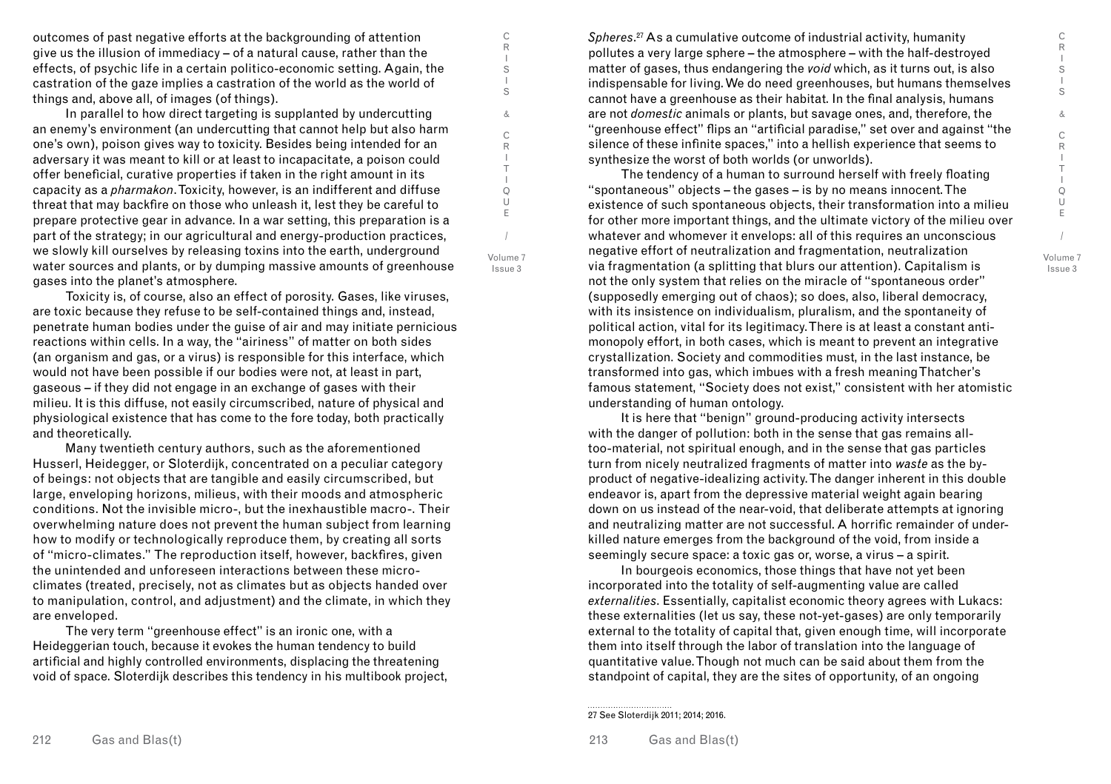C R I S I S & C R  $\mathbf{I}$ T I Q U E / Volume 7

Issue 3

outcomes of past negative efforts at the backgrounding of attention give us the illusion of immediacy – of a natural cause, rather than the effects, of psychic life in a certain politico-economic setting. Again, the castration of the gaze implies a castration of the world as the world of things and, above all, of images (of things).

In parallel to how direct targeting is supplanted by undercutting an enemy's environment (an undercutting that cannot help but also harm one's own), poison gives way to toxicity. Besides being intended for an adversary it was meant to kill or at least to incapacitate, a poison could offer beneficial, curative properties if taken in the right amount in its capacity as a *pharmakon*. Toxicity, however, is an indifferent and diffuse threat that may backfire on those who unleash it, lest they be careful to prepare protective gear in advance. In a war setting, this preparation is a part of the strategy; in our agricultural and energy-production practices, we slowly kill ourselves by releasing toxins into the earth, underground water sources and plants, or by dumping massive amounts of greenhouse gases into the planet's atmosphere.

Volume 7 Issue 3

/

C R I S I S & C R I T I Q U E

Toxicity is, of course, also an effect of porosity. Gases, like viruses, are toxic because they refuse to be self-contained things and, instead, penetrate human bodies under the guise of air and may initiate pernicious reactions within cells. In a way, the "airiness" of matter on both sides (an organism and gas, or a virus) is responsible for this interface, which would not have been possible if our bodies were not, at least in part, gaseous – if they did not engage in an exchange of gases with their milieu. It is this diffuse, not easily circumscribed, nature of physical and physiological existence that has come to the fore today, both practically and theoretically.

Many twentieth century authors, such as the aforementioned Husserl, Heidegger, or Sloterdijk, concentrated on a peculiar category of beings: not objects that are tangible and easily circumscribed, but large, enveloping horizons, milieus, with their moods and atmospheric conditions. Not the invisible micro-, but the inexhaustible macro-. Their overwhelming nature does not prevent the human subject from learning how to modify or technologically reproduce them, by creating all sorts of "micro-climates." The reproduction itself, however, backfires, given the unintended and unforeseen interactions between these microclimates (treated, precisely, not as climates but as objects handed over to manipulation, control, and adjustment) and the climate, in which they are enveloped.

The very term "greenhouse effect" is an ironic one, with a Heideggerian touch, because it evokes the human tendency to build artificial and highly controlled environments, displacing the threatening void of space. Sloterdijk describes this tendency in his multibook project,

*Spheres*. 27 As a cumulative outcome of industrial activity, humanity pollutes a very large sphere – the atmosphere – with the half-destroyed matter of gases, thus endangering the *void* which, as it turns out, is also indispensable for living. We do need greenhouses, but humans themselves cannot have a greenhouse as their habitat. In the final analysis, humans are not *domestic* animals or plants, but savage ones, and, therefore, the "greenhouse effect" flips an "artificial paradise," set over and against "the silence of these infinite spaces," into a hellish experience that seems to synthesize the worst of both worlds (or unworlds).

The tendency of a human to surround herself with freely floating "spontaneous" objects – the gases – is by no means innocent. The existence of such spontaneous objects, their transformation into a milieu for other more important things, and the ultimate victory of the milieu over whatever and whomever it envelops: all of this requires an unconscious negative effort of neutralization and fragmentation, neutralization via fragmentation (a splitting that blurs our attention). Capitalism is not the only system that relies on the miracle of "spontaneous order" (supposedly emerging out of chaos); so does, also, liberal democracy, with its insistence on individualism, pluralism, and the spontaneity of political action, vital for its legitimacy. There is at least a constant antimonopoly effort, in both cases, which is meant to prevent an integrative crystallization. Society and commodities must, in the last instance, be transformed into gas, which imbues with a fresh meaning Thatcher's famous statement, "Society does not exist," consistent with her atomistic understanding of human ontology.

It is here that "benign" ground-producing activity intersects with the danger of pollution: both in the sense that gas remains alltoo-material, not spiritual enough, and in the sense that gas particles turn from nicely neutralized fragments of matter into *waste* as the byproduct of negative-idealizing activity. The danger inherent in this double endeavor is, apart from the depressive material weight again bearing down on us instead of the near-void, that deliberate attempts at ignoring and neutralizing matter are not successful. A horrific remainder of underkilled nature emerges from the background of the void, from inside a seemingly secure space: a toxic gas or, worse, a virus – a spirit.

In bourgeois economics, those things that have not yet been incorporated into the totality of self-augmenting value are called *externalities*. Essentially, capitalist economic theory agrees with Lukacs: these externalities (let us say, these not-yet-gases) are only temporarily external to the totality of capital that, given enough time, will incorporate them into itself through the labor of translation into the language of quantitative value. Though not much can be said about them from the standpoint of capital, they are the sites of opportunity, of an ongoing

<sup>27</sup> See Sloterdijk 2011; 2014; 2016.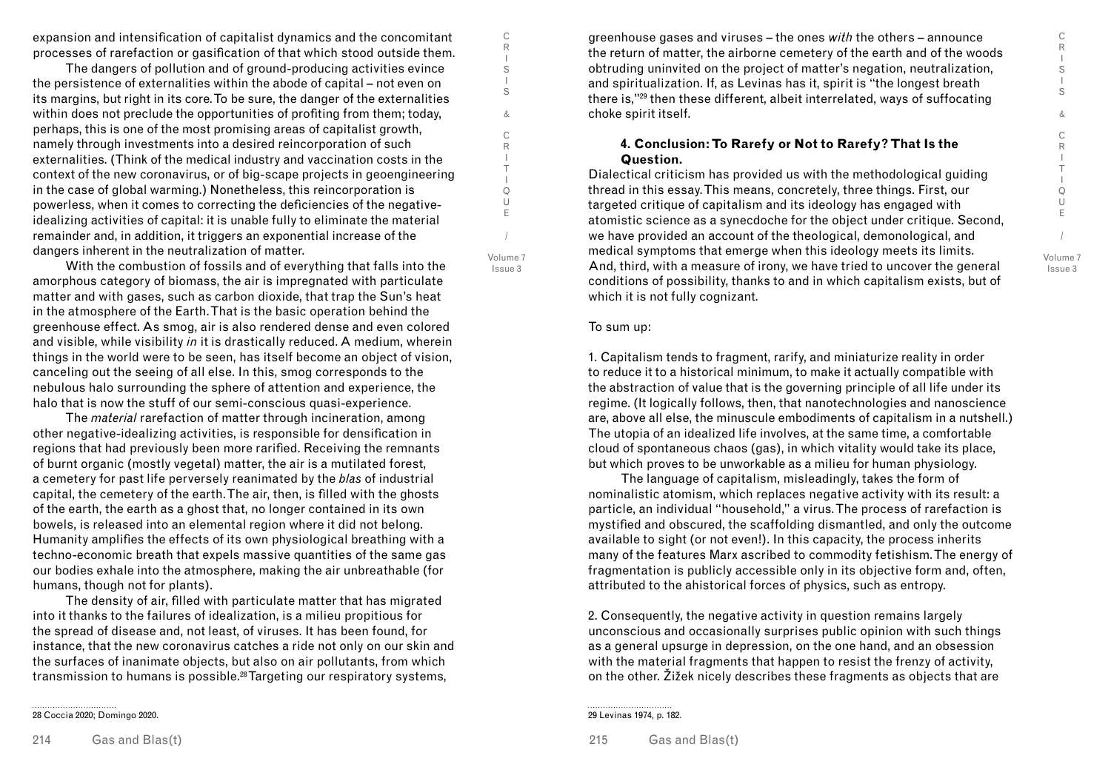C R I S I S & C R I T I Q U E / Volume 7 Issue 3

expansion and intensification of capitalist dynamics and the concomitant processes of rarefaction or gasification of that which stood outside them.

The dangers of pollution and of ground-producing activities evince the persistence of externalities within the abode of capital – not even on its margins, but right in its core. To be sure, the danger of the externalities within does not preclude the opportunities of profiting from them; today, perhaps, this is one of the most promising areas of capitalist growth, namely through investments into a desired reincorporation of such externalities. (Think of the medical industry and vaccination costs in the context of the new coronavirus, or of big-scape projects in geoengineering in the case of global warming.) Nonetheless, this reincorporation is powerless, when it comes to correcting the deficiencies of the negativeidealizing activities of capital: it is unable fully to eliminate the material remainder and, in addition, it triggers an exponential increase of the dangers inherent in the neutralization of matter.

With the combustion of fossils and of everything that falls into the amorphous category of biomass, the air is impregnated with particulate matter and with gases, such as carbon dioxide, that trap the Sun's heat in the atmosphere of the Earth. That is the basic operation behind the greenhouse effect. As smog, air is also rendered dense and even colored and visible, while visibility *in* it is drastically reduced. A medium, wherein things in the world were to be seen, has itself become an object of vision, canceling out the seeing of all else. In this, smog corresponds to the nebulous halo surrounding the sphere of attention and experience, the halo that is now the stuff of our semi-conscious quasi-experience.

The *material* rarefaction of matter through incineration, among other negative-idealizing activities, is responsible for densification in regions that had previously been more rarified. Receiving the remnants of burnt organic (mostly vegetal) matter, the air is a mutilated forest, a cemetery for past life perversely reanimated by the *blas* of industrial capital, the cemetery of the earth. The air, then, is filled with the ghosts of the earth, the earth as a ghost that, no longer contained in its own bowels, is released into an elemental region where it did not belong. Humanity amplifies the effects of its own physiological breathing with a techno-economic breath that expels massive quantities of the same gas our bodies exhale into the atmosphere, making the air unbreathable (for humans, though not for plants).

The density of air, filled with particulate matter that has migrated into it thanks to the failures of idealization, is a milieu propitious for the spread of disease and, not least, of viruses. It has been found, for instance, that the new coronavirus catches a ride not only on our skin and the surfaces of inanimate objects, but also on air pollutants, from which transmission to humans is possible.28 Targeting our respiratory systems,

28 Coccia 2020; Domingo 2020.

greenhouse gases and viruses – the ones *with* the others – announce the return of matter, the airborne cemetery of the earth and of the woods obtruding uninvited on the project of matter's negation, neutralization, and spiritualization. If, as Levinas has it, spirit is "the longest breath there is,"29 then these different, albeit interrelated, ways of suffocating choke spirit itself.

## **4. Conclusion: To Rarefy or Not to Rarefy? That Is the Question.**

Dialectical criticism has provided us with the methodological guiding thread in this essay. This means, concretely, three things. First, our targeted critique of capitalism and its ideology has engaged with atomistic science as a synecdoche for the object under critique. Second, we have provided an account of the theological, demonological, and medical symptoms that emerge when this ideology meets its limits. And, third, with a measure of irony, we have tried to uncover the general conditions of possibility, thanks to and in which capitalism exists, but of which it is not fully cognizant.

#### To sum up:

C R I S I S & C R I T I Q U E

/ Volume 7 Issue 3

> 1. Capitalism tends to fragment, rarify, and miniaturize reality in order to reduce it to a historical minimum, to make it actually compatible with the abstraction of value that is the governing principle of all life under its regime. (It logically follows, then, that nanotechnologies and nanoscience are, above all else, the minuscule embodiments of capitalism in a nutshell.) The utopia of an idealized life involves, at the same time, a comfortable cloud of spontaneous chaos (gas), in which vitality would take its place, but which proves to be unworkable as a milieu for human physiology.

> The language of capitalism, misleadingly, takes the form of nominalistic atomism, which replaces negative activity with its result: a particle, an individual "household," a virus. The process of rarefaction is mystified and obscured, the scaffolding dismantled, and only the outcome available to sight (or not even!). In this capacity, the process inherits many of the features Marx ascribed to commodity fetishism. The energy of fragmentation is publicly accessible only in its objective form and, often, attributed to the ahistorical forces of physics, such as entropy.

2. Consequently, the negative activity in question remains largely unconscious and occasionally surprises public opinion with such things as a general upsurge in depression, on the one hand, and an obsession with the material fragments that happen to resist the frenzy of activity, on the other. Žižek nicely describes these fragments as objects that are

<sup>29</sup> Levinas 1974, p. 182.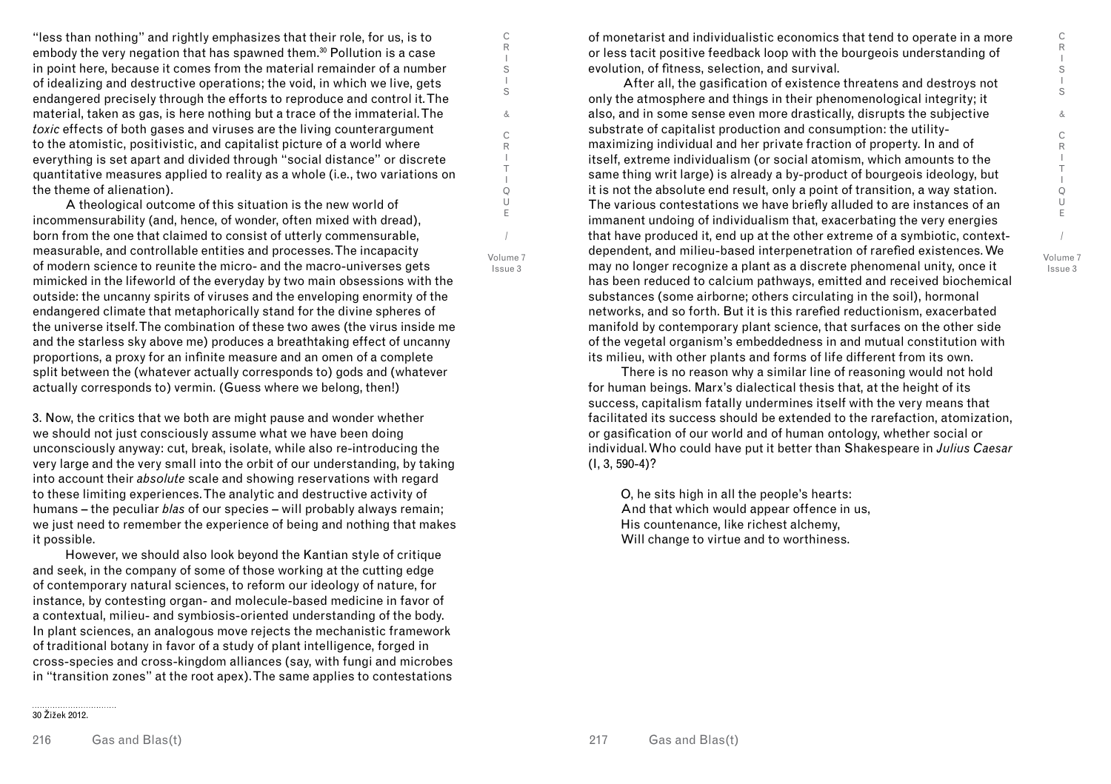C R I S I S & C R I T I Q U E / Volume 7 Issue 3

"less than nothing" and rightly emphasizes that their role, for us, is to embody the very negation that has spawned them.<sup>30</sup> Pollution is a case in point here, because it comes from the material remainder of a number of idealizing and destructive operations; the void, in which we live, gets endangered precisely through the efforts to reproduce and control it. The material, taken as gas, is here nothing but a trace of the immaterial. The *toxic* effects of both gases and viruses are the living counterargument to the atomistic, positivistic, and capitalist picture of a world where everything is set apart and divided through "social distance" or discrete quantitative measures applied to reality as a whole (i.e., two variations on the theme of alienation).

C R I S I S & C R I T I Q U E

/ Volume 7 Issue 3

A theological outcome of this situation is the new world of incommensurability (and, hence, of wonder, often mixed with dread), born from the one that claimed to consist of utterly commensurable, measurable, and controllable entities and processes. The incapacity of modern science to reunite the micro- and the macro-universes gets mimicked in the lifeworld of the everyday by two main obsessions with the outside: the uncanny spirits of viruses and the enveloping enormity of the endangered climate that metaphorically stand for the divine spheres of the universe itself. The combination of these two awes (the virus inside me and the starless sky above me) produces a breathtaking effect of uncanny proportions, a proxy for an infinite measure and an omen of a complete split between the (whatever actually corresponds to) gods and (whatever actually corresponds to) vermin. (Guess where we belong, then!)

3. Now, the critics that we both are might pause and wonder whether we should not just consciously assume what we have been doing unconsciously anyway: cut, break, isolate, while also re-introducing the very large and the very small into the orbit of our understanding, by taking into account their *absolute* scale and showing reservations with regard to these limiting experiences. The analytic and destructive activity of humans – the peculiar *blas* of our species – will probably always remain; we just need to remember the experience of being and nothing that makes it possible.

However, we should also look beyond the Kantian style of critique and seek, in the company of some of those working at the cutting edge of contemporary natural sciences, to reform our ideology of nature, for instance, by contesting organ- and molecule-based medicine in favor of a contextual, milieu- and symbiosis-oriented understanding of the body. In plant sciences, an analogous move rejects the mechanistic framework of traditional botany in favor of a study of plant intelligence, forged in cross-species and cross-kingdom alliances (say, with fungi and microbes in "transition zones" at the root apex). The same applies to contestations

of monetarist and individualistic economics that tend to operate in a more or less tacit positive feedback loop with the bourgeois understanding of evolution, of fitness, selection, and survival.

 After all, the gasification of existence threatens and destroys not only the atmosphere and things in their phenomenological integrity; it also, and in some sense even more drastically, disrupts the subjective substrate of capitalist production and consumption: the utilitymaximizing individual and her private fraction of property. In and of itself, extreme individualism (or social atomism, which amounts to the same thing writ large) is already a by-product of bourgeois ideology, but it is not the absolute end result, only a point of transition, a way station. The various contestations we have briefly alluded to are instances of an immanent undoing of individualism that, exacerbating the very energies that have produced it, end up at the other extreme of a symbiotic, contextdependent, and milieu-based interpenetration of rarefied existences. We may no longer recognize a plant as a discrete phenomenal unity, once it has been reduced to calcium pathways, emitted and received biochemical substances (some airborne; others circulating in the soil), hormonal networks, and so forth. But it is this rarefied reductionism, exacerbated manifold by contemporary plant science, that surfaces on the other side of the vegetal organism's embeddedness in and mutual constitution with its milieu, with other plants and forms of life different from its own.

There is no reason why a similar line of reasoning would not hold for human beings. Marx's dialectical thesis that, at the height of its success, capitalism fatally undermines itself with the very means that facilitated its success should be extended to the rarefaction, atomization, or gasification of our world and of human ontology, whether social or individual. Who could have put it better than Shakespeare in *Julius Caesar* (I, 3, 590-4)?

O, he sits high in all the people's hearts: And that which would appear offence in us, His countenance, like richest alchemy, Will change to virtue and to worthiness.

30 Žižek 2012.